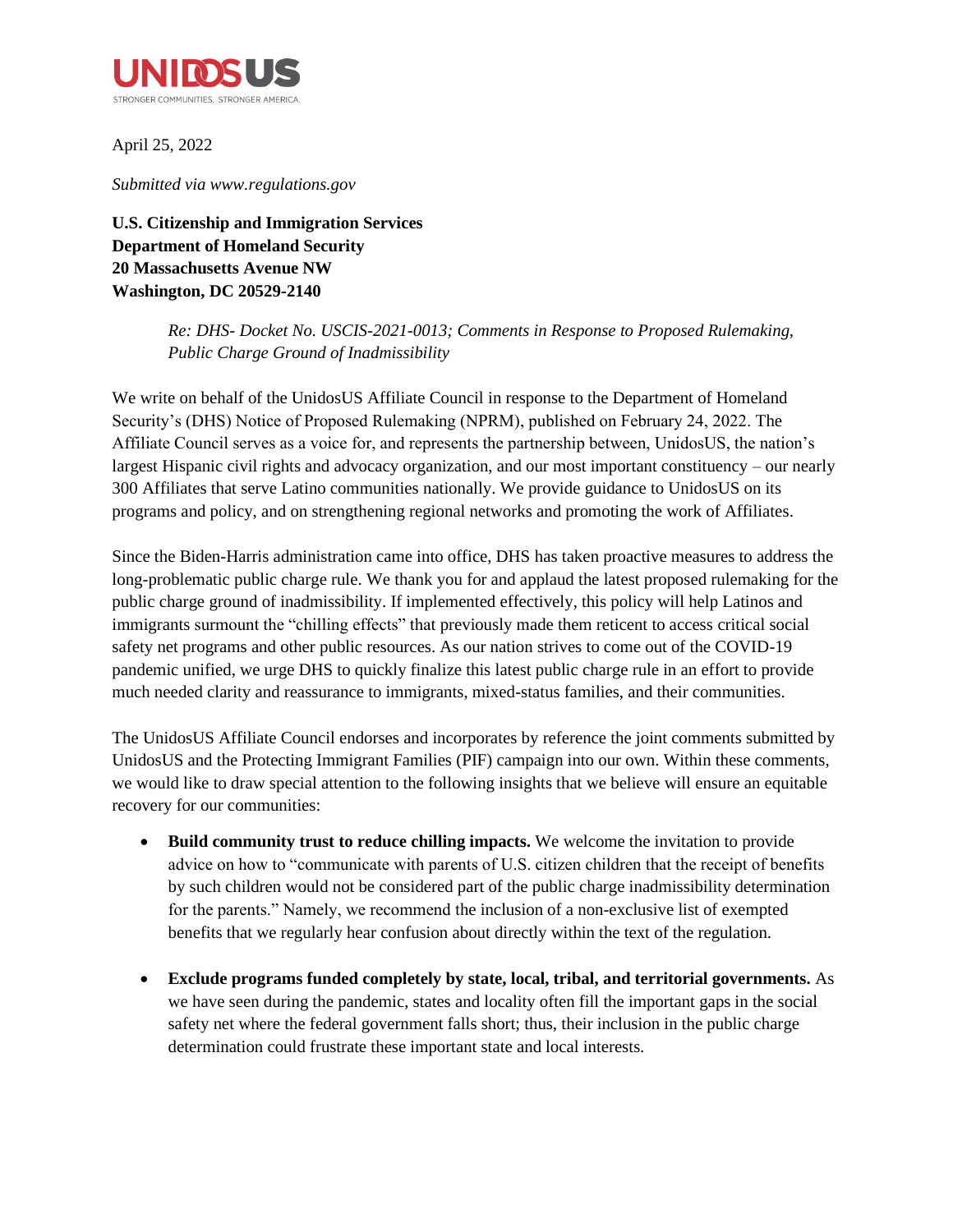

April 25, 2022

*Submitted via www.regulations.gov*

**U.S. Citizenship and Immigration Services Department of Homeland Security 20 Massachusetts Avenue NW Washington, DC 20529-2140**

> *Re: DHS- Docket No. USCIS-2021-0013; Comments in Response to Proposed Rulemaking, Public Charge Ground of Inadmissibility*

We write on behalf of the UnidosUS Affiliate Council in response to the Department of Homeland Security's (DHS) Notice of Proposed Rulemaking (NPRM), published on February 24, 2022. The Affiliate Council serves as a voice for, and represents the partnership between, UnidosUS, the nation's largest Hispanic civil rights and advocacy organization, and our most important constituency – our nearly 300 Affiliates that serve Latino communities nationally. We provide guidance to UnidosUS on its programs and policy, and on strengthening regional networks and promoting the work of Affiliates.

Since the Biden-Harris administration came into office, DHS has taken proactive measures to address the long-problematic public charge rule. We thank you for and applaud the latest proposed rulemaking for the public charge ground of inadmissibility. If implemented effectively, this policy will help Latinos and immigrants surmount the "chilling effects" that previously made them reticent to access critical social safety net programs and other public resources. As our nation strives to come out of the COVID-19 pandemic unified, we urge DHS to quickly finalize this latest public charge rule in an effort to provide much needed clarity and reassurance to immigrants, mixed-status families, and their communities.

The UnidosUS Affiliate Council endorses and incorporates by reference the joint comments submitted by UnidosUS and the Protecting Immigrant Families (PIF) campaign into our own. Within these comments, we would like to draw special attention to the following insights that we believe will ensure an equitable recovery for our communities:

- **Build community trust to reduce chilling impacts.** We welcome the invitation to provide advice on how to "communicate with parents of U.S. citizen children that the receipt of benefits by such children would not be considered part of the public charge inadmissibility determination for the parents." Namely, we recommend the inclusion of a non-exclusive list of exempted benefits that we regularly hear confusion about directly within the text of the regulation.
- **Exclude programs funded completely by state, local, tribal, and territorial governments.** As we have seen during the pandemic, states and locality often fill the important gaps in the social safety net where the federal government falls short; thus, their inclusion in the public charge determination could frustrate these important state and local interests.